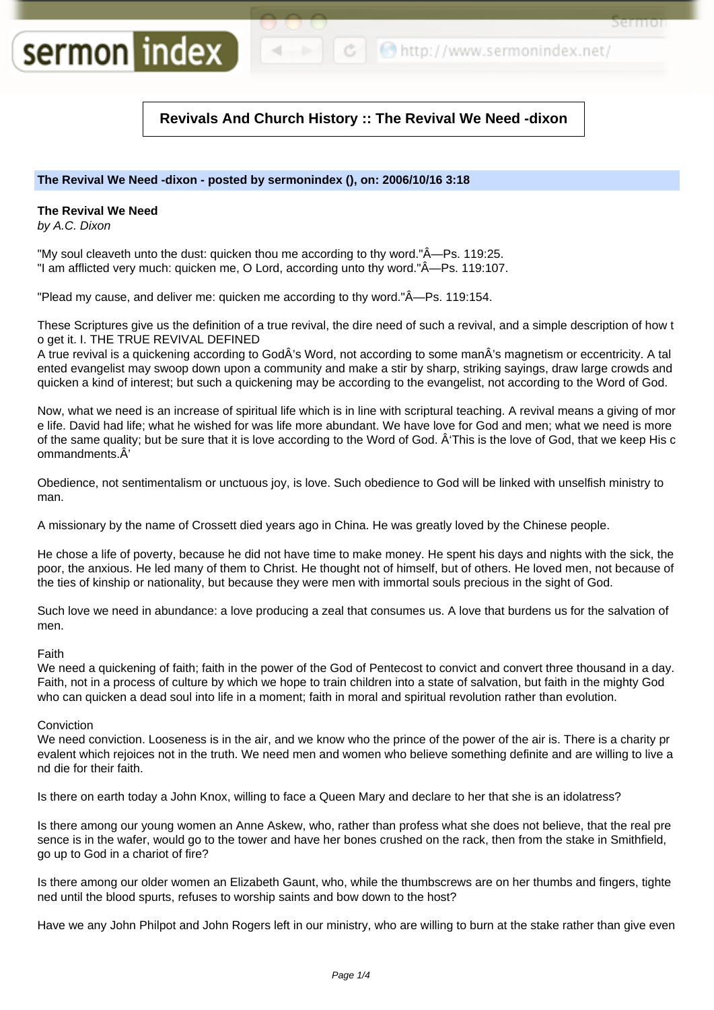```
c | C http://www.sermonindex.net/
```
Sermor

# **Revivals And Church History :: The Revival We Need -dixon**

# **The Revival We Need -dixon - posted by sermonindex (), on: 2006/10/16 3:18**

# **The Revival We Need**

sermon index

by A.C. Dixon

"My soul cleaveth unto the dust: quicken thou me according to thy word." $\mathring{A}$ —Ps. 119:25. "I am afflicted very much: quicken me, O Lord, according unto thy word."—Ps. 119:107.

"Plead my cause, and deliver me: quicken me according to thy word."—Ps. 119:154.

These Scriptures give us the definition of a true revival, the dire need of such a revival, and a simple description of how t o get it. I. THE TRUE REVIVAL DEFINED

A true revival is a quickening according to GodÂ's Word, not according to some manÂ's magnetism or eccentricity. A tal ented evangelist may swoop down upon a community and make a stir by sharp, striking sayings, draw large crowds and quicken a kind of interest; but such a quickening may be according to the evangelist, not according to the Word of God.

Now, what we need is an increase of spiritual life which is in line with scriptural teaching. A revival means a giving of mor e life. David had life; what he wished for was life more abundant. We have love for God and men; what we need is more of the same quality; but be sure that it is love according to the Word of God. 'This is the love of God, that we keep His c ommandments.Â'

Obedience, not sentimentalism or unctuous joy, is love. Such obedience to God will be linked with unselfish ministry to man.

A missionary by the name of Crossett died years ago in China. He was greatly loved by the Chinese people.

He chose a life of poverty, because he did not have time to make money. He spent his days and nights with the sick, the poor, the anxious. He led many of them to Christ. He thought not of himself, but of others. He loved men, not because of the ties of kinship or nationality, but because they were men with immortal souls precious in the sight of God.

Such love we need in abundance: a love producing a zeal that consumes us. A love that burdens us for the salvation of men.

## Faith

We need a quickening of faith; faith in the power of the God of Pentecost to convict and convert three thousand in a day. Faith, not in a process of culture by which we hope to train children into a state of salvation, but faith in the mighty God who can quicken a dead soul into life in a moment; faith in moral and spiritual revolution rather than evolution.

## Conviction

We need conviction. Looseness is in the air, and we know who the prince of the power of the air is. There is a charity pr evalent which rejoices not in the truth. We need men and women who believe something definite and are willing to live a nd die for their faith.

Is there on earth today a John Knox, willing to face a Queen Mary and declare to her that she is an idolatress?

Is there among our young women an Anne Askew, who, rather than profess what she does not believe, that the real pre sence is in the wafer, would go to the tower and have her bones crushed on the rack, then from the stake in Smithfield, go up to God in a chariot of fire?

Is there among our older women an Elizabeth Gaunt, who, while the thumbscrews are on her thumbs and fingers, tighte ned until the blood spurts, refuses to worship saints and bow down to the host?

Have we any John Philpot and John Rogers left in our ministry, who are willing to burn at the stake rather than give even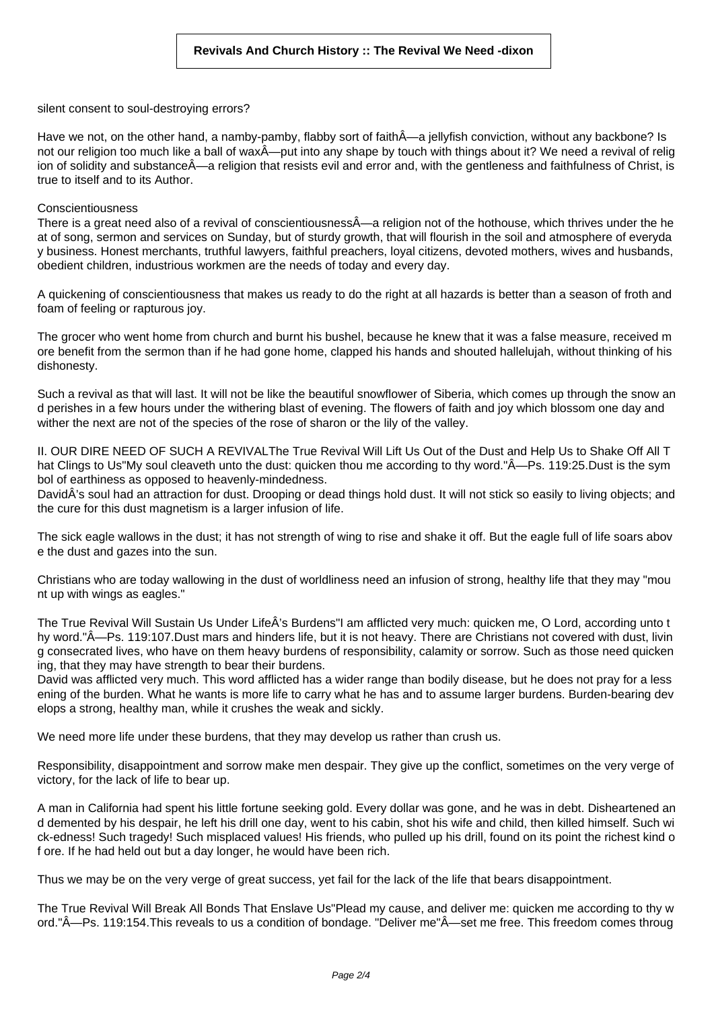silent consent to soul-destroying errors?

Have we not, on the other hand, a namby-pamby, flabby sort of faith—a jellyfish conviction, without any backbone? Is not our religion too much like a ball of wax $\hat{A}$ —put into any shape by touch with things about it? We need a revival of relig ion of solidity and substance—a religion that resists evil and error and, with the gentleness and faithfulness of Christ, is true to itself and to its Author.

#### Conscientiousness

There is a great need also of a revival of conscientiousness—a religion not of the hothouse, which thrives under the he at of song, sermon and services on Sunday, but of sturdy growth, that will flourish in the soil and atmosphere of everyda y business. Honest merchants, truthful lawyers, faithful preachers, loyal citizens, devoted mothers, wives and husbands, obedient children, industrious workmen are the needs of today and every day.

A quickening of conscientiousness that makes us ready to do the right at all hazards is better than a season of froth and foam of feeling or rapturous joy.

The grocer who went home from church and burnt his bushel, because he knew that it was a false measure, received m ore benefit from the sermon than if he had gone home, clapped his hands and shouted hallelujah, without thinking of his dishonesty.

Such a revival as that will last. It will not be like the beautiful snowflower of Siberia, which comes up through the snow an d perishes in a few hours under the withering blast of evening. The flowers of faith and joy which blossom one day and wither the next are not of the species of the rose of sharon or the lily of the valley.

II. OUR DIRE NEED OF SUCH A REVIVALThe True Revival Will Lift Us Out of the Dust and Help Us to Shake Off All T hat Clings to Us"My soul cleaveth unto the dust: quicken thou me according to thy word."—Ps. 119:25.Dust is the sym bol of earthiness as opposed to heavenly-mindedness.

DavidÂ's soul had an attraction for dust. Drooping or dead things hold dust. It will not stick so easily to living objects; and the cure for this dust magnetism is a larger infusion of life.

The sick eagle wallows in the dust; it has not strength of wing to rise and shake it off. But the eagle full of life soars abov e the dust and gazes into the sun.

Christians who are today wallowing in the dust of worldliness need an infusion of strong, healthy life that they may "mou nt up with wings as eagles."

The True Revival Will Sustain Us Under LifeÂ's Burdens"I am afflicted very much: quicken me, O Lord, according unto t hy word."—Ps. 119:107.Dust mars and hinders life, but it is not heavy. There are Christians not covered with dust, livin g consecrated lives, who have on them heavy burdens of responsibility, calamity or sorrow. Such as those need quicken ing, that they may have strength to bear their burdens.

David was afflicted very much. This word afflicted has a wider range than bodily disease, but he does not pray for a less ening of the burden. What he wants is more life to carry what he has and to assume larger burdens. Burden-bearing dev elops a strong, healthy man, while it crushes the weak and sickly.

We need more life under these burdens, that they may develop us rather than crush us.

Responsibility, disappointment and sorrow make men despair. They give up the conflict, sometimes on the very verge of victory, for the lack of life to bear up.

A man in California had spent his little fortune seeking gold. Every dollar was gone, and he was in debt. Disheartened an d demented by his despair, he left his drill one day, went to his cabin, shot his wife and child, then killed himself. Such wi ck-edness! Such tragedy! Such misplaced values! His friends, who pulled up his drill, found on its point the richest kind o f ore. If he had held out but a day longer, he would have been rich.

Thus we may be on the very verge of great success, yet fail for the lack of the life that bears disappointment.

The True Revival Will Break All Bonds That Enslave Us"Plead my cause, and deliver me: quicken me according to thy w ord."—Ps. 119:154.This reveals to us a condition of bondage. "Deliver me"—set me free. This freedom comes throug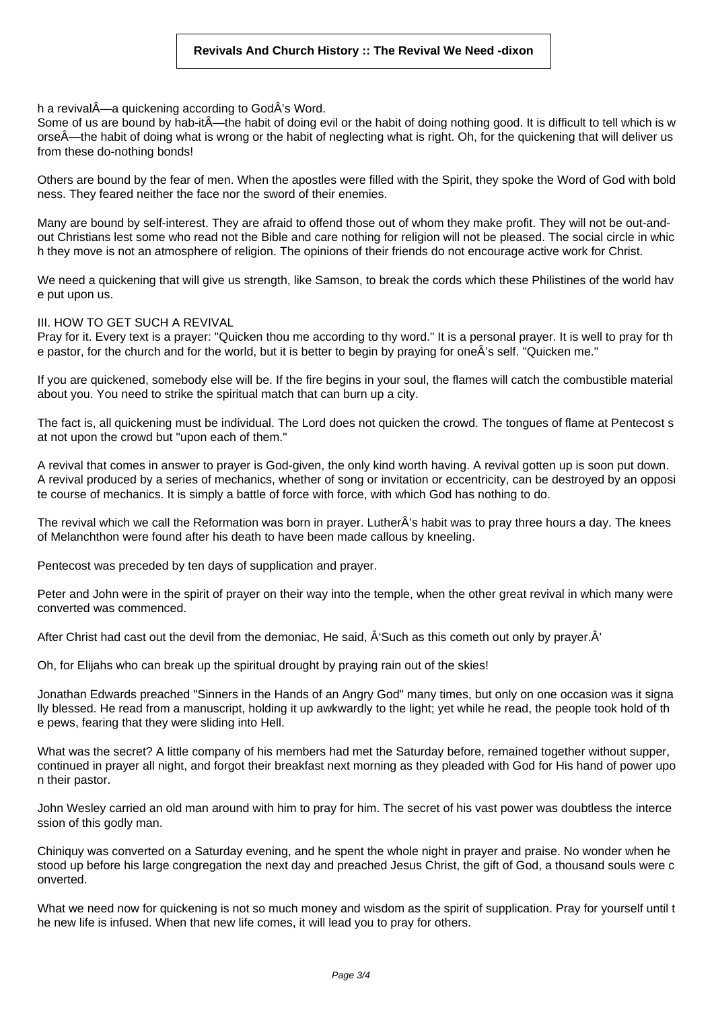h a revival—a quickening according to GodÂ's Word.

Some of us are bound by hab-it—the habit of doing evil or the habit of doing nothing good. It is difficult to tell which is w orse—the habit of doing what is wrong or the habit of neglecting what is right. Oh, for the quickening that will deliver us from these do-nothing bonds!

Others are bound by the fear of men. When the apostles were filled with the Spirit, they spoke the Word of God with bold ness. They feared neither the face nor the sword of their enemies.

Many are bound by self-interest. They are afraid to offend those out of whom they make profit. They will not be out-andout Christians lest some who read not the Bible and care nothing for religion will not be pleased. The social circle in whic h they move is not an atmosphere of religion. The opinions of their friends do not encourage active work for Christ.

We need a quickening that will give us strength, like Samson, to break the cords which these Philistines of the world hav e put upon us.

### III. HOW TO GET SUCH A REVIVAL

Pray for it. Every text is a prayer: "Quicken thou me according to thy word." It is a personal prayer. It is well to pray for th e pastor, for the church and for the world, but it is better to begin by praying for oneÂ's self. "Quicken me."

If you are quickened, somebody else will be. If the fire begins in your soul, the flames will catch the combustible material about you. You need to strike the spiritual match that can burn up a city.

The fact is, all quickening must be individual. The Lord does not quicken the crowd. The tongues of flame at Pentecost s at not upon the crowd but "upon each of them."

A revival that comes in answer to prayer is God-given, the only kind worth having. A revival gotten up is soon put down. A revival produced by a series of mechanics, whether of song or invitation or eccentricity, can be destroyed by an opposi te course of mechanics. It is simply a battle of force with force, with which God has nothing to do.

The revival which we call the Reformation was born in prayer. LutherÂ's habit was to pray three hours a day. The knees of Melanchthon were found after his death to have been made callous by kneeling.

Pentecost was preceded by ten days of supplication and prayer.

Peter and John were in the spirit of prayer on their way into the temple, when the other great revival in which many were converted was commenced.

After Christ had cast out the devil from the demoniac, He said,  $\hat{A}$ 'Such as this cometh out only by prayer. $\hat{A}$ '

Oh, for Elijahs who can break up the spiritual drought by praying rain out of the skies!

Jonathan Edwards preached "Sinners in the Hands of an Angry God" many times, but only on one occasion was it signa lly blessed. He read from a manuscript, holding it up awkwardly to the light; yet while he read, the people took hold of th e pews, fearing that they were sliding into Hell.

What was the secret? A little company of his members had met the Saturday before, remained together without supper, continued in prayer all night, and forgot their breakfast next morning as they pleaded with God for His hand of power upo n their pastor.

John Wesley carried an old man around with him to pray for him. The secret of his vast power was doubtless the interce ssion of this godly man.

Chiniquy was converted on a Saturday evening, and he spent the whole night in prayer and praise. No wonder when he stood up before his large congregation the next day and preached Jesus Christ, the gift of God, a thousand souls were c onverted.

What we need now for quickening is not so much money and wisdom as the spirit of supplication. Pray for yourself until t he new life is infused. When that new life comes, it will lead you to pray for others.